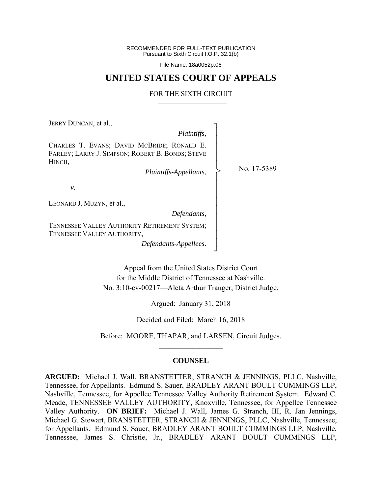RECOMMENDED FOR FULL-TEXT PUBLICATION Pursuant to Sixth Circuit I.O.P. 32.1(b)

File Name: 18a0052p.06

## **UNITED STATES COURT OF APPEALS**

#### FOR THE SIXTH CIRCUIT

JERRY DUNCAN, et al.,

#### *Plaintiffs*,

┐ │ │ │ │ │ │ │ │ │ │ │ │ │ │ ┘

>

CHARLES T. EVANS; DAVID MCBRIDE; RONALD E. FARLEY; LARRY J. SIMPSON; ROBERT B. BONDS; STEVE HINCH,

*Plaintiffs-Appellants*,

No. 17-5389

*v*.

LEONARD J. MUZYN, et al.,

*Defendants*,

TENNESSEE VALLEY AUTHORITY RETIREMENT SYSTEM; TENNESSEE VALLEY AUTHORITY,

*Defendants-Appellees*.

Appeal from the United States District Court for the Middle District of Tennessee at Nashville. No. 3:10-cv-00217—Aleta Arthur Trauger, District Judge.

Argued: January 31, 2018

Decided and Filed: March 16, 2018

Before: MOORE, THAPAR, and LARSEN, Circuit Judges.  $\frac{1}{2}$  ,  $\frac{1}{2}$  ,  $\frac{1}{2}$  ,  $\frac{1}{2}$  ,  $\frac{1}{2}$  ,  $\frac{1}{2}$  ,  $\frac{1}{2}$  ,  $\frac{1}{2}$  ,  $\frac{1}{2}$ 

#### **COUNSEL**

**ARGUED:** Michael J. Wall, BRANSTETTER, STRANCH & JENNINGS, PLLC, Nashville, Tennessee, for Appellants. Edmund S. Sauer, BRADLEY ARANT BOULT CUMMINGS LLP, Nashville, Tennessee, for Appellee Tennessee Valley Authority Retirement System. Edward C. Meade, TENNESSEE VALLEY AUTHORITY, Knoxville, Tennessee, for Appellee Tennessee Valley Authority. **ON BRIEF:** Michael J. Wall, James G. Stranch, III, R. Jan Jennings, Michael G. Stewart, BRANSTETTER, STRANCH & JENNINGS, PLLC, Nashville, Tennessee, for Appellants. Edmund S. Sauer, BRADLEY ARANT BOULT CUMMINGS LLP, Nashville, Tennessee, James S. Christie, Jr., BRADLEY ARANT BOULT CUMMINGS LLP,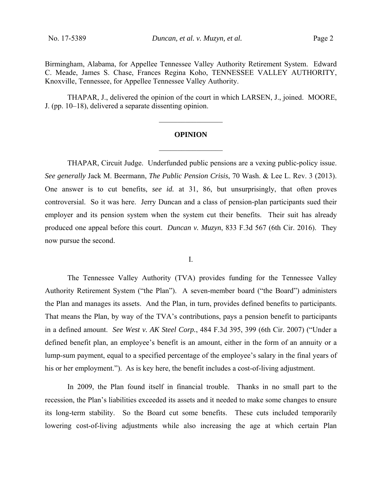Birmingham, Alabama, for Appellee Tennessee Valley Authority Retirement System. Edward C. Meade, James S. Chase, Frances Regina Koho, TENNESSEE VALLEY AUTHORITY, Knoxville, Tennessee, for Appellee Tennessee Valley Authority.

 THAPAR, J., delivered the opinion of the court in which LARSEN, J., joined. MOORE, J. (pp. 10–18), delivered a separate dissenting opinion.

# **OPINION**   $\frac{1}{2}$

 $\frac{1}{2}$ 

 THAPAR, Circuit Judge. Underfunded public pensions are a vexing public-policy issue. *See generally* Jack M. Beermann, *The Public Pension Crisis*, 70 Wash. & Lee L. Rev. 3 (2013). One answer is to cut benefits, *see id.* at 31, 86, but unsurprisingly, that often proves controversial. So it was here. Jerry Duncan and a class of pension-plan participants sued their employer and its pension system when the system cut their benefits. Their suit has already produced one appeal before this court. *Duncan v. Muzyn*, 833 F.3d 567 (6th Cir. 2016). They now pursue the second.

#### I.

 The Tennessee Valley Authority (TVA) provides funding for the Tennessee Valley Authority Retirement System ("the Plan").A seven-member board ("the Board") administers the Plan and manages its assets. And the Plan, in turn, provides defined benefits to participants. That means the Plan, by way of the TVA's contributions, pays a pension benefit to participants in a defined amount. *See West v. AK Steel Corp.*, 484 F.3d 395, 399 (6th Cir. 2007) ("Under a defined benefit plan, an employee's benefit is an amount, either in the form of an annuity or a lump-sum payment, equal to a specified percentage of the employee's salary in the final years of his or her employment."). As is key here, the benefit includes a cost-of-living adjustment.

In 2009, the Plan found itself in financial trouble. Thanks in no small part to the recession, the Plan's liabilities exceeded its assets and it needed to make some changes to ensure its long-term stability. So the Board cut some benefits. These cuts included temporarily lowering cost-of-living adjustments while also increasing the age at which certain Plan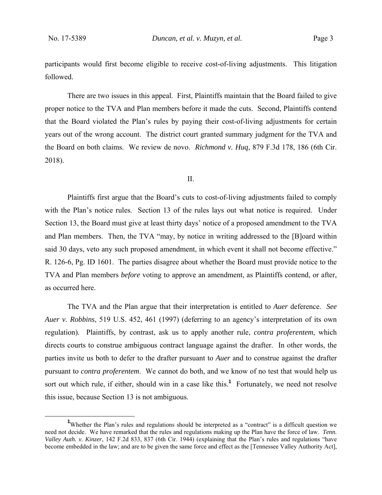participants would first become eligible to receive cost-of-living adjustments. This litigation followed.

There are two issues in this appeal. First, Plaintiffs maintain that the Board failed to give proper notice to the TVA and Plan members before it made the cuts. Second, Plaintiffs contend that the Board violated the Plan's rules by paying their cost-of-living adjustments for certain years out of the wrong account. The district court granted summary judgment for the TVA and the Board on both claims. We review de novo. *Richmond v. Huq*, 879 F.3d 178, 186 (6th Cir. 2018).

#### II.

 Plaintiffs first argue that the Board's cuts to cost-of-living adjustments failed to comply with the Plan's notice rules. Section 13 of the rules lays out what notice is required. Under Section 13, the Board must give at least thirty days' notice of a proposed amendment to the TVA and Plan members. Then, the TVA "may, by notice in writing addressed to the [B]oard within said 30 days, veto any such proposed amendment, in which event it shall not become effective." R. 126-6, Pg. ID 1601. The parties disagree about whether the Board must provide notice to the TVA and Plan members *before* voting to approve an amendment, as Plaintiffs contend, or after, as occurred here.

The TVA and the Plan argue that their interpretation is entitled to *Auer* deference. *See Auer v. Robbins*, 519 U.S. 452, 461 (1997) (deferring to an agency's interpretation of its own regulation). Plaintiffs, by contrast, ask us to apply another rule, *contra proferentem*, which directs courts to construe ambiguous contract language against the drafter. In other words, the parties invite us both to defer to the drafter pursuant to *Auer* and to construe against the drafter pursuant to *contra proferentem*. We cannot do both, and we know of no test that would help us sort out which rule, if either, should win in a case like this.<sup>1</sup> Fortunately, we need not resolve this issue, because Section 13 is not ambiguous.

<sup>&</sup>lt;u>1</u> <sup>1</sup>Whether the Plan's rules and regulations should be interpreted as a "contract" is a difficult question we need not decide. We have remarked that the rules and regulations making up the Plan have the force of law. *Tenn. Valley Auth. v. Kinzer*, 142 F.2d 833, 837 (6th Cir. 1944) (explaining that the Plan's rules and regulations "have become embedded in the law; and are to be given the same force and effect as the [Tennessee Valley Authority Act],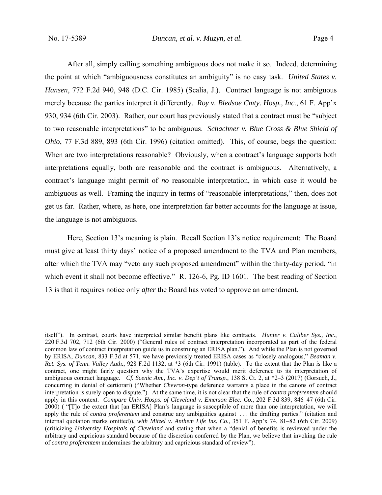After all, simply calling something ambiguous does not make it so. Indeed, determining the point at which "ambiguousness constitutes an ambiguity" is no easy task. *United States v. Hansen*, 772 F.2d 940, 948 (D.C. Cir. 1985) (Scalia, J.). Contract language is not ambiguous merely because the parties interpret it differently. *Roy v. Bledsoe Cmty. Hosp., Inc.*, 61 F. App'x 930, 934 (6th Cir. 2003). Rather, our court has previously stated that a contract must be "subject to two reasonable interpretations" to be ambiguous. *Schachner v. Blue Cross & Blue Shield of Ohio*, 77 F.3d 889, 893 (6th Cir. 1996) (citation omitted). This, of course, begs the question: When are two interpretations reasonable? Obviously, when a contract's language supports both interpretations equally, both are reasonable and the contract is ambiguous. Alternatively, a contract's language might permit of *no* reasonable interpretation, in which case it would be ambiguous as well. Framing the inquiry in terms of "reasonable interpretations," then, does not get us far. Rather, where, as here, one interpretation far better accounts for the language at issue, the language is not ambiguous.

Here, Section 13's meaning is plain. Recall Section 13's notice requirement: The Board must give at least thirty days' notice of a proposed amendment to the TVA and Plan members, after which the TVA may "veto any such proposed amendment" within the thirty-day period, "in which event it shall not become effective." R. 126-6, Pg. ID 1601. The best reading of Section 13 is that it requires notice only *after* the Board has voted to approve an amendment.

itself"). In contrast, courts have interpreted similar benefit plans like contracts. *Hunter v. Caliber Sys., Inc.*, 220 F.3d 702, 712 (6th Cir. 2000) ("General rules of contract interpretation incorporated as part of the federal common law of contract interpretation guide us in construing an ERISA plan."). And while the Plan is not governed by ERISA, *Duncan*, 833 F.3d at 571, we have previously treated ERISA cases as "closely analogous," *Beaman v. Ret. Sys. of Tenn. Valley Auth.*, 928 F.2d 1132, at \*3 (6th Cir. 1991) (table). To the extent that the Plan *is* like a contract, one might fairly question why the TVA's expertise would merit deference to its interpretation of ambiguous contract language. *Cf. Scenic Am., Inc. v. Dep't of Transp.*, 138 S. Ct. 2, at \*2–3 (2017) (Gorsuch, J., concurring in denial of certiorari) ("Whether *Chevron*-type deference warrants a place in the canons of contract interpretation is surely open to dispute."). At the same time, it is not clear that the rule of *contra proferentem* should apply in this context. *Compare Univ. Hosps. of Cleveland v. Emerson Elec. Co.*, 202 F.3d 839, 846–47 (6th Cir. 2000) ( "[T]o the extent that [an ERISA] Plan's language is susceptible of more than one interpretation, we will apply the rule of *contra proferentem* and construe any ambiguities against . . . the drafting parties." (citation and internal quotation marks omitted)), *with Mitzel v. Anthem Life Ins. Co.*, 351 F. App'x 74, 81–82 (6th Cir. 2009) (criticizing *University Hospitals of Cleveland* and stating that when a "denial of benefits is reviewed under the arbitrary and capricious standard because of the discretion conferred by the Plan, we believe that invoking the rule of *contra proferentem* undermines the arbitrary and capricious standard of review").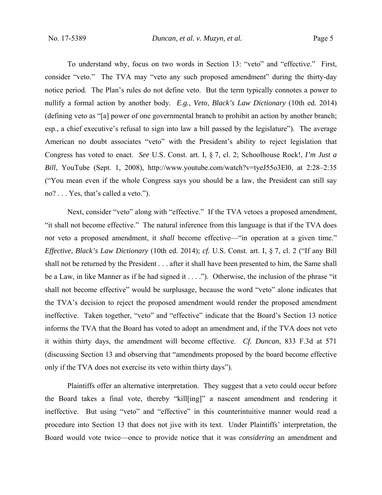To understand why, focus on two words in Section 13: "veto" and "effective." First, consider "veto." The TVA may "veto any such proposed amendment" during the thirty-day notice period. The Plan's rules do not define veto. But the term typically connotes a power to nullify a formal action by another body. *E.g.*, *Veto*, *Black's Law Dictionary* (10th ed. 2014) (defining veto as "[a] power of one governmental branch to prohibit an action by another branch; esp., a chief executive's refusal to sign into law a bill passed by the legislature"). The average American no doubt associates "veto" with the President's ability to reject legislation that Congress has voted to enact. *See* U.S. Const. art. I, § 7, cl. 2; Schoolhouse Rock!, *I'm Just a Bill*, YouTube (Sept. 1, 2008), http://www.youtube.com/watch?v=tyeJ55o3El0, at 2:28–2:35 ("You mean even if the whole Congress says you should be a law, the President can still say no? . . . Yes, that's called a veto.").

Next, consider "veto" along with "effective." If the TVA vetoes a proposed amendment, "it shall not become effective." The natural inference from this language is that if the TVA does *not* veto a proposed amendment, it *shall* become effective—"in operation at a given time." *Effective*, *Black's Law Dictionary* (10th ed. 2014); *cf.* U.S. Const. art. I, § 7, cl. 2 ("If any Bill shall not be returned by the President . . . after it shall have been presented to him, the Same shall be a Law, in like Manner as if he had signed it . . . ."). Otherwise, the inclusion of the phrase "it shall not become effective" would be surplusage, because the word "veto" alone indicates that the TVA's decision to reject the proposed amendment would render the proposed amendment ineffective. Taken together, "veto" and "effective" indicate that the Board's Section 13 notice informs the TVA that the Board has voted to adopt an amendment and, if the TVA does not veto it within thirty days, the amendment will become effective. *Cf. Duncan*, 833 F.3d at 571 (discussing Section 13 and observing that "amendments proposed by the board become effective only if the TVA does not exercise its veto within thirty days").

 Plaintiffs offer an alternative interpretation. They suggest that a veto could occur before the Board takes a final vote, thereby "kill[ing]" a nascent amendment and rendering it ineffective. But using "veto" and "effective" in this counterintuitive manner would read a procedure into Section 13 that does not jive with its text. Under Plaintiffs' interpretation, the Board would vote twice—once to provide notice that it was *considering* an amendment and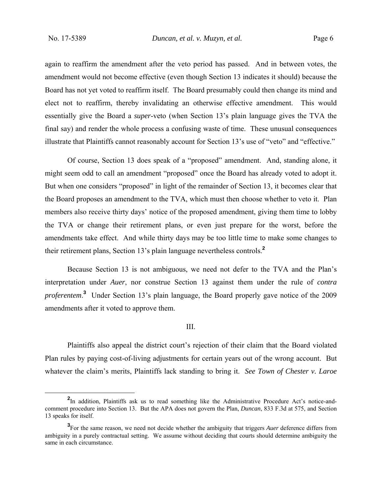again to reaffirm the amendment after the veto period has passed. And in between votes, the amendment would not become effective (even though Section 13 indicates it should) because the Board has not yet voted to reaffirm itself. The Board presumably could then change its mind and elect not to reaffirm, thereby invalidating an otherwise effective amendment. This would essentially give the Board a *super*-veto (when Section 13's plain language gives the TVA the final say) and render the whole process a confusing waste of time. These unusual consequences illustrate that Plaintiffs cannot reasonably account for Section 13's use of "veto" and "effective."

Of course, Section 13 does speak of a "proposed" amendment. And, standing alone, it might seem odd to call an amendment "proposed" once the Board has already voted to adopt it. But when one considers "proposed" in light of the remainder of Section 13, it becomes clear that the Board proposes an amendment to the TVA, which must then choose whether to veto it. Plan members also receive thirty days' notice of the proposed amendment, giving them time to lobby the TVA or change their retirement plans, or even just prepare for the worst, before the amendments take effect. And while thirty days may be too little time to make some changes to their retirement plans, Section 13's plain language nevertheless controls.**<sup>2</sup>**

Because Section 13 is not ambiguous, we need not defer to the TVA and the Plan's interpretation under *Auer*, nor construe Section 13 against them under the rule of *contra*  proferentem.<sup>3</sup> Under Section 13's plain language, the Board properly gave notice of the 2009 amendments after it voted to approve them.

### III.

Plaintiffs also appeal the district court's rejection of their claim that the Board violated Plan rules by paying cost-of-living adjustments for certain years out of the wrong account. But whatever the claim's merits, Plaintiffs lack standing to bring it. *See Town of Chester v. Laroe* 

**<sup>2</sup>** <sup>2</sup>In addition, Plaintiffs ask us to read something like the Administrative Procedure Act's notice-andcomment procedure into Section 13. But the APA does not govern the Plan, *Duncan*, 833 F.3d at 575, and Section 13 speaks for itself.

**<sup>3</sup>** For the same reason, we need not decide whether the ambiguity that triggers *Auer* deference differs from ambiguity in a purely contractual setting. We assume without deciding that courts should determine ambiguity the same in each circumstance.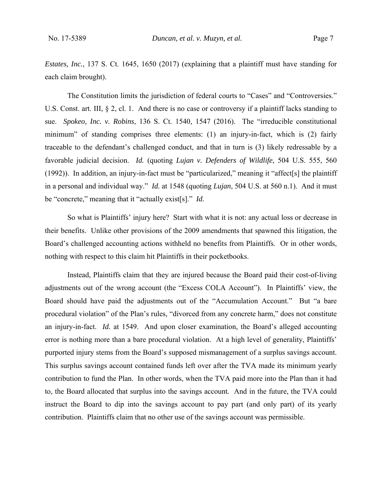*Estates, Inc.*, 137 S. Ct. 1645, 1650 (2017) (explaining that a plaintiff must have standing for each claim brought).

 The Constitution limits the jurisdiction of federal courts to "Cases" and "Controversies." U.S. Const. art. III, § 2, cl. 1. And there is no case or controversy if a plaintiff lacks standing to sue. *Spokeo, Inc. v. Robins*, 136 S. Ct. 1540, 1547 (2016). The "irreducible constitutional minimum" of standing comprises three elements: (1) an injury-in-fact, which is (2) fairly traceable to the defendant's challenged conduct, and that in turn is (3) likely redressable by a favorable judicial decision. *Id.* (quoting *Lujan v. Defenders of Wildlife*, 504 U.S. 555, 560 (1992)). In addition, an injury-in-fact must be "particularized," meaning it "affect[s] the plaintiff in a personal and individual way." *Id.* at 1548 (quoting *Lujan*, 504 U.S. at 560 n.1). And it must be "concrete," meaning that it "actually exist[s]." *Id.*

 So what is Plaintiffs' injury here? Start with what it is not: any actual loss or decrease in their benefits. Unlike other provisions of the 2009 amendments that spawned this litigation, the Board's challenged accounting actions withheld no benefits from Plaintiffs. Or in other words, nothing with respect to this claim hit Plaintiffs in their pocketbooks.

 Instead, Plaintiffs claim that they are injured because the Board paid their cost-of-living adjustments out of the wrong account (the "Excess COLA Account"). In Plaintiffs' view, the Board should have paid the adjustments out of the "Accumulation Account." But "a bare procedural violation" of the Plan's rules, "divorced from any concrete harm," does not constitute an injury-in-fact. *Id.* at 1549. And upon closer examination, the Board's alleged accounting error is nothing more than a bare procedural violation. At a high level of generality, Plaintiffs' purported injury stems from the Board's supposed mismanagement of a surplus savings account. This surplus savings account contained funds left over after the TVA made its minimum yearly contribution to fund the Plan. In other words, when the TVA paid more into the Plan than it had to, the Board allocated that surplus into the savings account*.* And in the future, the TVA could instruct the Board to dip into the savings account to pay part (and only part) of its yearly contribution. Plaintiffs claim that no other use of the savings account was permissible.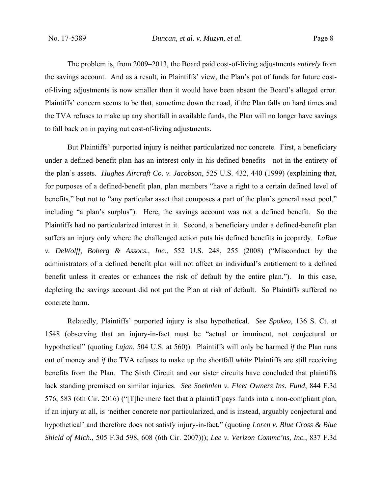The problem is, from 2009–2013, the Board paid cost-of-living adjustments *entirely* from the savings account. And as a result, in Plaintiffs' view, the Plan's pot of funds for future costof-living adjustments is now smaller than it would have been absent the Board's alleged error. Plaintiffs' concern seems to be that, sometime down the road, if the Plan falls on hard times and the TVA refuses to make up any shortfall in available funds, the Plan will no longer have savings to fall back on in paying out cost-of-living adjustments.

But Plaintiffs' purported injury is neither particularized nor concrete. First, a beneficiary under a defined-benefit plan has an interest only in his defined benefits—not in the entirety of the plan's assets. *Hughes Aircraft Co. v. Jacobson*, 525 U.S. 432, 440 (1999) (explaining that, for purposes of a defined-benefit plan, plan members "have a right to a certain defined level of benefits," but not to "any particular asset that composes a part of the plan's general asset pool," including "a plan's surplus"). Here, the savings account was not a defined benefit. So the Plaintiffs had no particularized interest in it. Second, a beneficiary under a defined-benefit plan suffers an injury only where the challenged action puts his defined benefits in jeopardy. *LaRue v. DeWolff, Boberg & Assocs., Inc.*, 552 U.S. 248, 255 (2008) ("Misconduct by the administrators of a defined benefit plan will not affect an individual's entitlement to a defined benefit unless it creates or enhances the risk of default by the entire plan."). In this case, depleting the savings account did not put the Plan at risk of default. So Plaintiffs suffered no concrete harm.

Relatedly, Plaintiffs' purported injury is also hypothetical. *See Spokeo*, 136 S. Ct. at 1548 (observing that an injury-in-fact must be "actual or imminent, not conjectural or hypothetical" (quoting *Lujan*, 504 U.S. at 560)). Plaintiffs will only be harmed *if* the Plan runs out of money and *if* the TVA refuses to make up the shortfall *while* Plaintiffs are still receiving benefits from the Plan. The Sixth Circuit and our sister circuits have concluded that plaintiffs lack standing premised on similar injuries. *See Soehnlen v. Fleet Owners Ins. Fund*, 844 F.3d 576, 583 (6th Cir. 2016) ("[T]he mere fact that a plaintiff pays funds into a non-compliant plan, if an injury at all, is 'neither concrete nor particularized, and is instead, arguably conjectural and hypothetical' and therefore does not satisfy injury-in-fact." (quoting *Loren v. Blue Cross & Blue Shield of Mich.*, 505 F.3d 598, 608 (6th Cir. 2007))); *Lee v. Verizon Commc'ns, Inc.*, 837 F.3d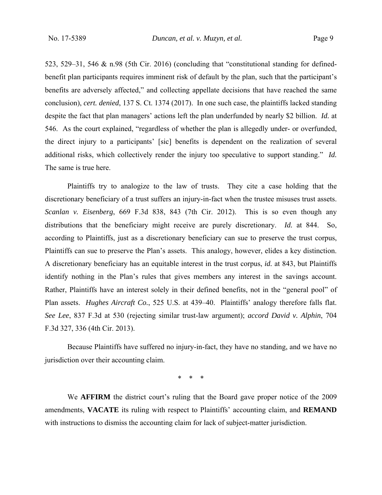523, 529–31, 546 & n.98 (5th Cir. 2016) (concluding that "constitutional standing for definedbenefit plan participants requires imminent risk of default by the plan, such that the participant's benefits are adversely affected," and collecting appellate decisions that have reached the same conclusion), *cert. denied*, 137 S. Ct. 1374 (2017). In one such case, the plaintiffs lacked standing despite the fact that plan managers' actions left the plan underfunded by nearly \$2 billion. *Id.* at 546. As the court explained, "regardless of whether the plan is allegedly under- or overfunded, the direct injury to a participants' [sic] benefits is dependent on the realization of several additional risks, which collectively render the injury too speculative to support standing." *Id.* The same is true here.

Plaintiffs try to analogize to the law of trusts. They cite a case holding that the discretionary beneficiary of a trust suffers an injury-in-fact when the trustee misuses trust assets. *Scanlan v. Eisenberg*, 669 F.3d 838, 843 (7th Cir. 2012). This is so even though any distributions that the beneficiary might receive are purely discretionary. *Id.* at 844. So, according to Plaintiffs, just as a discretionary beneficiary can sue to preserve the trust corpus, Plaintiffs can sue to preserve the Plan's assets. This analogy, however, elides a key distinction. A discretionary beneficiary has an equitable interest in the trust corpus, *id.* at 843, but Plaintiffs identify nothing in the Plan's rules that gives members any interest in the savings account. Rather, Plaintiffs have an interest solely in their defined benefits, not in the "general pool" of Plan assets. *Hughes Aircraft Co.*, 525 U.S. at 439–40. Plaintiffs' analogy therefore falls flat. *See Lee*, 837 F.3d at 530 (rejecting similar trust-law argument); *accord David v. Alphin*, 704 F.3d 327, 336 (4th Cir. 2013).

Because Plaintiffs have suffered no injury-in-fact, they have no standing, and we have no jurisdiction over their accounting claim.

\* \* \*

We **AFFIRM** the district court's ruling that the Board gave proper notice of the 2009 amendments, **VACATE** its ruling with respect to Plaintiffs' accounting claim, and **REMAND** with instructions to dismiss the accounting claim for lack of subject-matter jurisdiction.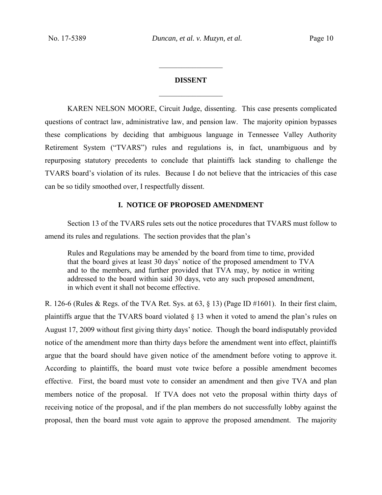# **DISSENT**   $\frac{1}{2}$

 $\frac{1}{2}$ 

KAREN NELSON MOORE, Circuit Judge, dissenting. This case presents complicated questions of contract law, administrative law, and pension law. The majority opinion bypasses these complications by deciding that ambiguous language in Tennessee Valley Authority Retirement System ("TVARS") rules and regulations is, in fact, unambiguous and by repurposing statutory precedents to conclude that plaintiffs lack standing to challenge the TVARS board's violation of its rules. Because I do not believe that the intricacies of this case can be so tidily smoothed over, I respectfully dissent.

#### **I. NOTICE OF PROPOSED AMENDMENT**

Section 13 of the TVARS rules sets out the notice procedures that TVARS must follow to amend its rules and regulations. The section provides that the plan's

Rules and Regulations may be amended by the board from time to time, provided that the board gives at least 30 days' notice of the proposed amendment to TVA and to the members, and further provided that TVA may, by notice in writing addressed to the board within said 30 days, veto any such proposed amendment, in which event it shall not become effective.

R. 126-6 (Rules & Regs. of the TVA Ret. Sys. at 63,  $\S$  13) (Page ID #1601). In their first claim, plaintiffs argue that the TVARS board violated § 13 when it voted to amend the plan's rules on August 17, 2009 without first giving thirty days' notice. Though the board indisputably provided notice of the amendment more than thirty days before the amendment went into effect, plaintiffs argue that the board should have given notice of the amendment before voting to approve it. According to plaintiffs, the board must vote twice before a possible amendment becomes effective. First, the board must vote to consider an amendment and then give TVA and plan members notice of the proposal. If TVA does not veto the proposal within thirty days of receiving notice of the proposal, and if the plan members do not successfully lobby against the proposal, then the board must vote again to approve the proposed amendment. The majority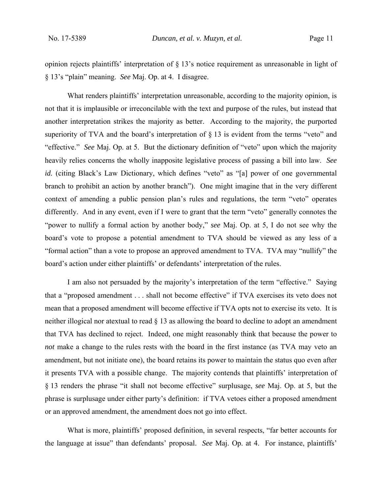opinion rejects plaintiffs' interpretation of § 13's notice requirement as unreasonable in light of § 13's "plain" meaning. *See* Maj. Op. at 4. I disagree.

What renders plaintiffs' interpretation unreasonable, according to the majority opinion, is not that it is implausible or irreconcilable with the text and purpose of the rules, but instead that another interpretation strikes the majority as better. According to the majority, the purported superiority of TVA and the board's interpretation of § 13 is evident from the terms "veto" and "effective." *See* Maj. Op. at 5. But the dictionary definition of "veto" upon which the majority heavily relies concerns the wholly inapposite legislative process of passing a bill into law. *See id.* (citing Black's Law Dictionary, which defines "veto" as "[a] power of one governmental branch to prohibit an action by another branch"). One might imagine that in the very different context of amending a public pension plan's rules and regulations, the term "veto" operates differently. And in any event, even if I were to grant that the term "veto" generally connotes the "power to nullify a formal action by another body," *see* Maj. Op. at 5, I do not see why the board's vote to propose a potential amendment to TVA should be viewed as any less of a "formal action" than a vote to propose an approved amendment to TVA. TVA may "nullify" the board's action under either plaintiffs' or defendants' interpretation of the rules.

I am also not persuaded by the majority's interpretation of the term "effective." Saying that a "proposed amendment . . . shall not become effective" if TVA exercises its veto does not mean that a proposed amendment will become effective if TVA opts not to exercise its veto. It is neither illogical nor atextual to read § 13 as allowing the board to decline to adopt an amendment that TVA has declined to reject. Indeed, one might reasonably think that because the power to *not* make a change to the rules rests with the board in the first instance (as TVA may veto an amendment, but not initiate one), the board retains its power to maintain the status quo even after it presents TVA with a possible change. The majority contends that plaintiffs' interpretation of § 13 renders the phrase "it shall not become effective" surplusage, *see* Maj. Op. at 5, but the phrase is surplusage under either party's definition: if TVA vetoes either a proposed amendment or an approved amendment, the amendment does not go into effect.

What is more, plaintiffs' proposed definition, in several respects, "far better accounts for the language at issue" than defendants' proposal. *See* Maj. Op. at 4. For instance, plaintiffs'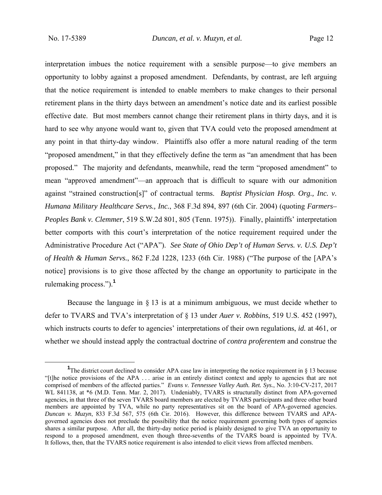interpretation imbues the notice requirement with a sensible purpose—to give members an opportunity to lobby against a proposed amendment. Defendants, by contrast, are left arguing that the notice requirement is intended to enable members to make changes to their personal retirement plans in the thirty days between an amendment's notice date and its earliest possible effective date. But most members cannot change their retirement plans in thirty days, and it is hard to see why anyone would want to, given that TVA could veto the proposed amendment at any point in that thirty-day window. Plaintiffs also offer a more natural reading of the term "proposed amendment," in that they effectively define the term as "an amendment that has been proposed." The majority and defendants, meanwhile, read the term "proposed amendment" to mean "approved amendment"—an approach that is difficult to square with our admonition against "strained construction[s]" of contractual terms. *Baptist Physician Hosp. Org., Inc. v. Humana Military Healthcare Servs., Inc.*, 368 F.3d 894, 897 (6th Cir. 2004) (quoting *Farmers– Peoples Bank v. Clemmer*, 519 S.W.2d 801, 805 (Tenn. 1975)). Finally, plaintiffs' interpretation better comports with this court's interpretation of the notice requirement required under the Administrative Procedure Act ("APA"). *See State of Ohio Dep't of Human Servs. v. U.S. Dep't of Health & Human Servs.*, 862 F.2d 1228, 1233 (6th Cir. 1988) ("The purpose of the [APA's notice] provisions is to give those affected by the change an opportunity to participate in the rulemaking process.").**<sup>1</sup>**

Because the language in  $\S$  13 is at a minimum ambiguous, we must decide whether to defer to TVARS and TVA's interpretation of § 13 under *Auer v. Robbins*, 519 U.S. 452 (1997), which instructs courts to defer to agencies' interpretations of their own regulations, *id.* at 461, or whether we should instead apply the contractual doctrine of *contra proferentem* and construe the

<sup>&</sup>lt;u>1</u> <sup>1</sup>The district court declined to consider APA case law in interpreting the notice requirement in § 13 because "[t]he notice provisions of the APA . . . arise in an entirely distinct context and apply to agencies that are not comprised of members of the affected parties." *Evans v. Tennessee Valley Auth. Ret. Sys.*, No. 3:10-CV-217, 2017 WL 841138, at \*6 (M.D. Tenn. Mar. 2, 2017). Undeniably, TVARS is structurally distinct from APA-governed agencies, in that three of the seven TVARS board members are elected by TVARS participants and three other board members are appointed by TVA, while no party representatives sit on the board of APA-governed agencies. *Duncan v. Muzyn*, 833 F.3d 567, 575 (6th Cir. 2016). However, this difference between TVARS and APAgoverned agencies does not preclude the possibility that the notice requirement governing both types of agencies shares a similar purpose. After all, the thirty-day notice period is plainly designed to give TVA an opportunity to respond to a proposed amendment, even though three-sevenths of the TVARS board is appointed by TVA. It follows, then, that the TVARS notice requirement is also intended to elicit views from affected members.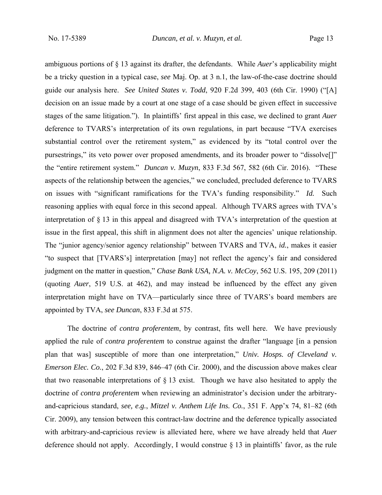ambiguous portions of § 13 against its drafter, the defendants. While *Auer*'s applicability might be a tricky question in a typical case, *see* Maj. Op. at 3 n.1, the law-of-the-case doctrine should guide our analysis here. *See United States v. Todd*, 920 F.2d 399, 403 (6th Cir. 1990) ("[A] decision on an issue made by a court at one stage of a case should be given effect in successive stages of the same litigation."). In plaintiffs' first appeal in this case, we declined to grant *Auer*  deference to TVARS's interpretation of its own regulations, in part because "TVA exercises substantial control over the retirement system," as evidenced by its "total control over the pursestrings," its veto power over proposed amendments, and its broader power to "dissolve<sup>[]"</sup> the "entire retirement system." *Duncan v. Muzyn*, 833 F.3d 567, 582 (6th Cir. 2016). "These aspects of the relationship between the agencies," we concluded, precluded deference to TVARS on issues with "significant ramifications for the TVA's funding responsibility." *Id.* Such reasoning applies with equal force in this second appeal. Although TVARS agrees with TVA's interpretation of § 13 in this appeal and disagreed with TVA's interpretation of the question at issue in the first appeal, this shift in alignment does not alter the agencies' unique relationship. The "junior agency/senior agency relationship" between TVARS and TVA, *id.*, makes it easier "to suspect that [TVARS's] interpretation [may] not reflect the agency's fair and considered judgment on the matter in question," *Chase Bank USA, N.A. v. McCoy*, 562 U.S. 195, 209 (2011) (quoting *Auer*, 519 U.S. at 462), and may instead be influenced by the effect any given interpretation might have on TVA—particularly since three of TVARS's board members are appointed by TVA, *see Duncan*, 833 F.3d at 575.

The doctrine of *contra proferentem*, by contrast, fits well here. We have previously applied the rule of *contra proferentem* to construe against the drafter "language [in a pension plan that was] susceptible of more than one interpretation," *Univ. Hosps. of Cleveland v. Emerson Elec. Co.*, 202 F.3d 839, 846–47 (6th Cir. 2000), and the discussion above makes clear that two reasonable interpretations of  $\S$  13 exist. Though we have also hesitated to apply the doctrine of *contra proferentem* when reviewing an administrator's decision under the arbitraryand-capricious standard, *see, e.g.*, *Mitzel v. Anthem Life Ins. Co.*, 351 F. App'x 74, 81–82 (6th Cir. 2009), any tension between this contract-law doctrine and the deference typically associated with arbitrary-and-capricious review is alleviated here, where we have already held that *Auer*  deference should not apply. Accordingly, I would construe § 13 in plaintiffs' favor, as the rule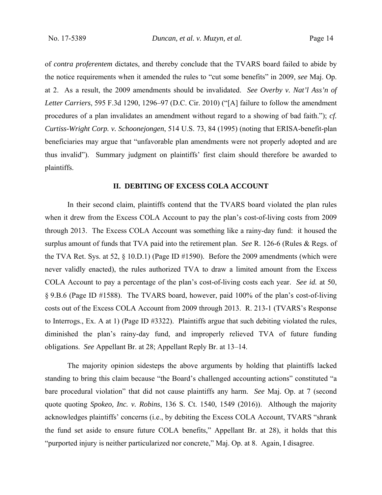of *contra proferentem* dictates, and thereby conclude that the TVARS board failed to abide by the notice requirements when it amended the rules to "cut some benefits" in 2009, *see* Maj. Op. at 2. As a result, the 2009 amendments should be invalidated. *See Overby v. Nat'l Ass'n of Letter Carriers*, 595 F.3d 1290, 1296–97 (D.C. Cir. 2010) ("[A] failure to follow the amendment procedures of a plan invalidates an amendment without regard to a showing of bad faith."); *cf. Curtiss-Wright Corp. v. Schoonejongen*, 514 U.S. 73, 84 (1995) (noting that ERISA-benefit-plan beneficiaries may argue that "unfavorable plan amendments were not properly adopted and are thus invalid"). Summary judgment on plaintiffs' first claim should therefore be awarded to plaintiffs.

### **II. DEBITING OF EXCESS COLA ACCOUNT**

In their second claim, plaintiffs contend that the TVARS board violated the plan rules when it drew from the Excess COLA Account to pay the plan's cost-of-living costs from 2009 through 2013. The Excess COLA Account was something like a rainy-day fund: it housed the surplus amount of funds that TVA paid into the retirement plan. *See* R. 126-6 (Rules & Regs. of the TVA Ret. Sys. at 52, § 10.D.1) (Page ID #1590). Before the 2009 amendments (which were never validly enacted), the rules authorized TVA to draw a limited amount from the Excess COLA Account to pay a percentage of the plan's cost-of-living costs each year. *See id.* at 50, § 9.B.6 (Page ID #1588). The TVARS board, however, paid 100% of the plan's cost-of-living costs out of the Excess COLA Account from 2009 through 2013. R. 213-1 (TVARS's Response to Interrogs., Ex. A at 1) (Page ID #3322). Plaintiffs argue that such debiting violated the rules, diminished the plan's rainy-day fund, and improperly relieved TVA of future funding obligations. *See* Appellant Br. at 28; Appellant Reply Br. at 13–14.

The majority opinion sidesteps the above arguments by holding that plaintiffs lacked standing to bring this claim because "the Board's challenged accounting actions" constituted "a bare procedural violation" that did not cause plaintiffs any harm. *See* Maj. Op. at 7 (second quote quoting *Spokeo, Inc. v. Robins*, 136 S. Ct. 1540, 1549 (2016)). Although the majority acknowledges plaintiffs' concerns (i.e., by debiting the Excess COLA Account, TVARS "shrank the fund set aside to ensure future COLA benefits," Appellant Br. at 28), it holds that this "purported injury is neither particularized nor concrete," Maj. Op. at 8. Again, I disagree.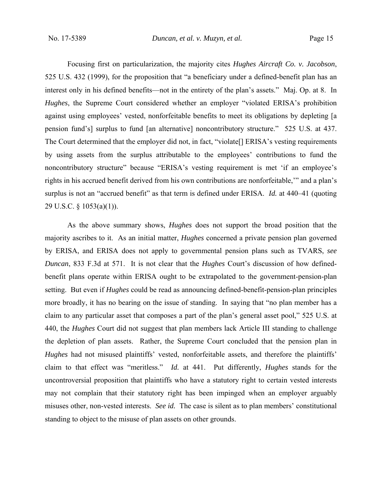Focusing first on particularization, the majority cites *Hughes Aircraft Co. v. Jacobson*, 525 U.S. 432 (1999), for the proposition that "a beneficiary under a defined-benefit plan has an interest only in his defined benefits—not in the entirety of the plan's assets." Maj. Op. at 8. In *Hughes*, the Supreme Court considered whether an employer "violated ERISA's prohibition against using employees' vested, nonforfeitable benefits to meet its obligations by depleting [a pension fund's] surplus to fund [an alternative] noncontributory structure." 525 U.S. at 437. The Court determined that the employer did not, in fact, "violate[] ERISA's vesting requirements by using assets from the surplus attributable to the employees' contributions to fund the noncontributory structure" because "ERISA's vesting requirement is met 'if an employee's rights in his accrued benefit derived from his own contributions are nonforfeitable,'" and a plan's surplus is not an "accrued benefit" as that term is defined under ERISA. *Id.* at 440–41 (quoting 29 U.S.C. § 1053(a)(1)).

As the above summary shows, *Hughes* does not support the broad position that the majority ascribes to it. As an initial matter, *Hughes* concerned a private pension plan governed by ERISA, and ERISA does not apply to governmental pension plans such as TVARS, *see Duncan*, 833 F.3d at 571. It is not clear that the *Hughes* Court's discussion of how definedbenefit plans operate within ERISA ought to be extrapolated to the government-pension-plan setting. But even if *Hughes* could be read as announcing defined-benefit-pension-plan principles more broadly, it has no bearing on the issue of standing. In saying that "no plan member has a claim to any particular asset that composes a part of the plan's general asset pool," 525 U.S. at 440, the *Hughes* Court did not suggest that plan members lack Article III standing to challenge the depletion of plan assets. Rather, the Supreme Court concluded that the pension plan in *Hughes* had not misused plaintiffs' vested, nonforfeitable assets, and therefore the plaintiffs' claim to that effect was "meritless." *Id.* at 441. Put differently, *Hughes* stands for the uncontroversial proposition that plaintiffs who have a statutory right to certain vested interests may not complain that their statutory right has been impinged when an employer arguably misuses other, non-vested interests. *See id.* The case is silent as to plan members' constitutional standing to object to the misuse of plan assets on other grounds.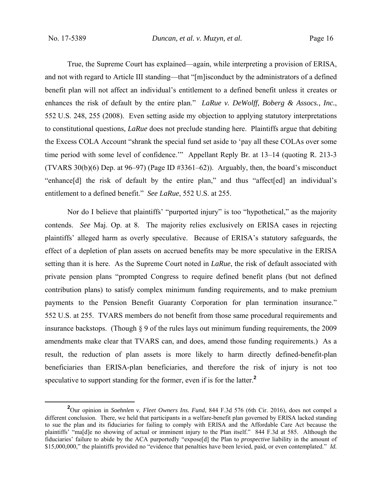True, the Supreme Court has explained—again, while interpreting a provision of ERISA, and not with regard to Article III standing—that "[m]isconduct by the administrators of a defined benefit plan will not affect an individual's entitlement to a defined benefit unless it creates or enhances the risk of default by the entire plan." *LaRue v. DeWolff, Boberg & Assocs., Inc.*, 552 U.S. 248, 255 (2008). Even setting aside my objection to applying statutory interpretations to constitutional questions, *LaRue* does not preclude standing here. Plaintiffs argue that debiting the Excess COLA Account "shrank the special fund set aside to 'pay all these COLAs over some time period with some level of confidence." Appellant Reply Br. at 13–14 (quoting R. 213-3) (TVARS 30(b)(6) Dep. at 96–97) (Page ID #3361–62)). Arguably, then, the board's misconduct "enhance[d] the risk of default by the entire plan," and thus "affect[ed] an individual's entitlement to a defined benefit." *See LaRue*, 552 U.S. at 255.

Nor do I believe that plaintiffs' "purported injury" is too "hypothetical," as the majority contends. *See* Maj. Op. at 8. The majority relies exclusively on ERISA cases in rejecting plaintiffs' alleged harm as overly speculative. Because of ERISA's statutory safeguards, the effect of a depletion of plan assets on accrued benefits may be more speculative in the ERISA setting than it is here. As the Supreme Court noted in *LaRue*, the risk of default associated with private pension plans "prompted Congress to require defined benefit plans (but not defined contribution plans) to satisfy complex minimum funding requirements, and to make premium payments to the Pension Benefit Guaranty Corporation for plan termination insurance." 552 U.S. at 255. TVARS members do not benefit from those same procedural requirements and insurance backstops. (Though  $\S 9$  of the rules lays out minimum funding requirements, the 2009 amendments make clear that TVARS can, and does, amend those funding requirements.) As a result, the reduction of plan assets is more likely to harm directly defined-benefit-plan beneficiaries than ERISA-plan beneficiaries, and therefore the risk of injury is not too speculative to support standing for the former, even if is for the latter.**<sup>2</sup>**

**<sup>2</sup>** Our opinion in *Soehnlen v. Fleet Owners Ins. Fund*, 844 F.3d 576 (6th Cir. 2016), does not compel a different conclusion. There, we held that participants in a welfare-benefit plan governed by ERISA lacked standing to sue the plan and its fiduciaries for failing to comply with ERISA and the Affordable Care Act because the plaintiffs' "ma[d]e no showing of actual or imminent injury to the Plan itself." 844 F.3d at 585. Although the fiduciaries' failure to abide by the ACA purportedly "expose[d] the Plan to *prospective* liability in the amount of \$15,000,000," the plaintiffs provided no "evidence that penalties have been levied, paid, or even contemplated." *Id.*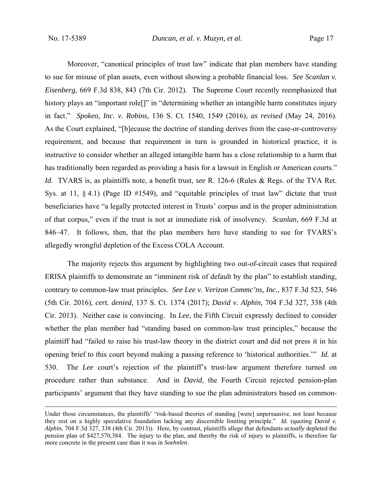Moreover, "canonical principles of trust law" indicate that plan members have standing to sue for misuse of plan assets, even without showing a probable financial loss. *See Scanlan v. Eisenberg*, 669 F.3d 838, 843 (7th Cir. 2012). The Supreme Court recently reemphasized that history plays an "important role<sup>[]"</sup> in "determining whether an intangible harm constitutes injury in fact." *Spokeo, Inc. v. Robins*, 136 S. Ct. 1540, 1549 (2016), *as revised* (May 24, 2016). As the Court explained, "[b]ecause the doctrine of standing derives from the case-or-controversy requirement, and because that requirement in turn is grounded in historical practice, it is instructive to consider whether an alleged intangible harm has a close relationship to a harm that has traditionally been regarded as providing a basis for a lawsuit in English or American courts." *Id.* TVARS is, as plaintiffs note, a benefit trust, *see* R. 126-6 (Rules & Regs. of the TVA Ret. Sys. at 11,  $\S$  4.1) (Page ID #1549), and "equitable principles of trust law" dictate that trust beneficiaries have "a legally protected interest in Trusts' corpus and in the proper administration of that corpus," even if the trust is not at immediate risk of insolvency. *Scanlan*, 669 F.3d at 846–47. It follows, then, that the plan members here have standing to sue for TVARS's allegedly wrongful depletion of the Excess COLA Account.

The majority rejects this argument by highlighting two out-of-circuit cases that required ERISA plaintiffs to demonstrate an "imminent risk of default by the plan" to establish standing, contrary to common-law trust principles. *See Lee v. Verizon Commc'ns, Inc.*, 837 F.3d 523, 546 (5th Cir. 2016), *cert. denied*, 137 S. Ct. 1374 (2017); *David v. Alphin*, 704 F.3d 327, 338 (4th Cir. 2013). Neither case is convincing. In *Lee*, the Fifth Circuit expressly declined to consider whether the plan member had "standing based on common-law trust principles," because the plaintiff had "failed to raise his trust-law theory in the district court and did not press it in his opening brief to this court beyond making a passing reference to 'historical authorities.'" *Id.* at 530. The *Lee* court's rejection of the plaintiff's trust-law argument therefore turned on procedure rather than substance. And in *David*, the Fourth Circuit rejected pension-plan participants' argument that they have standing to sue the plan administrators based on common-

Under those circumstances, the plaintiffs' "risk-based theories of standing [were] unpersuasive, not least because they rest on a highly speculative foundation lacking any discernible limiting principle." *Id.* (quoting *David v. Alphin*, 704 F.3d 327, 338 (4th Cir. 2013)). Here, by contrast, plaintiffs allege that defendants *actually* depleted the pension plan of \$427,570,384. The injury to the plan, and thereby the risk of injury to plaintiffs, is therefore far more concrete in the present case than it was in *Soehnlen*.